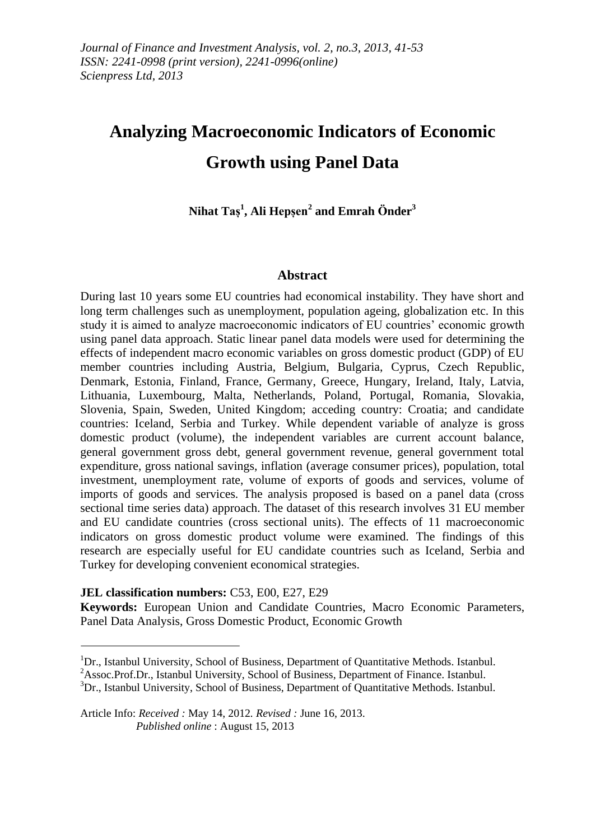# **Analyzing Macroeconomic Indicators of Economic Growth using Panel Data**

**Nihat Taș<sup>1</sup> , Ali Hepșen<sup>2</sup> and Emrah Önder<sup>3</sup>**

#### **Abstract**

During last 10 years some EU countries had economical instability. They have short and long term challenges such as unemployment, population ageing, globalization etc. In this study it is aimed to analyze macroeconomic indicators of EU countries' economic growth using panel data approach. Static linear panel data models were used for determining the effects of independent macro economic variables on gross domestic product (GDP) of EU member countries including Austria, Belgium, Bulgaria, Cyprus, Czech Republic, Denmark, Estonia, Finland, France, Germany, Greece, Hungary, Ireland, Italy, Latvia, Lithuania, Luxembourg, Malta, Netherlands, Poland, Portugal, Romania, Slovakia, Slovenia, Spain, Sweden, United Kingdom; acceding country: Croatia; and candidate countries: Iceland, Serbia and Turkey. While dependent variable of analyze is gross domestic product (volume), the independent variables are current account balance, general government gross debt, general government revenue, general government total expenditure, gross national savings, inflation (average consumer prices), population, total investment, unemployment rate, volume of exports of goods and services, volume of imports of goods and services. The analysis proposed is based on a panel data (cross sectional time series data) approach. The dataset of this research involves 31 EU member and EU candidate countries (cross sectional units). The effects of 11 macroeconomic indicators on gross domestic product volume were examined. The findings of this research are especially useful for EU candidate countries such as Iceland, Serbia and Turkey for developing convenient economical strategies.

**JEL classification numbers:** C53, E00, E27, E29

**Keywords:** European Union and Candidate Countries, Macro Economic Parameters, Panel Data Analysis, Gross Domestic Product, Economic Growth

 ${}^{1}$ Dr., Istanbul University, School of Business, Department of Quantitative Methods. Istanbul.  ${}^{2}$ Assoc.Prof.Dr., Istanbul University, School of Business, Department of Finance. Istanbul. <sup>3</sup>Dr., Istanbul University, School of Business, Department of Quantitative Methods. Istanbul.

Article Info: *Received :* May 14, 2012*. Revised :* June 16, 2013.  *Published online* : August 15, 2013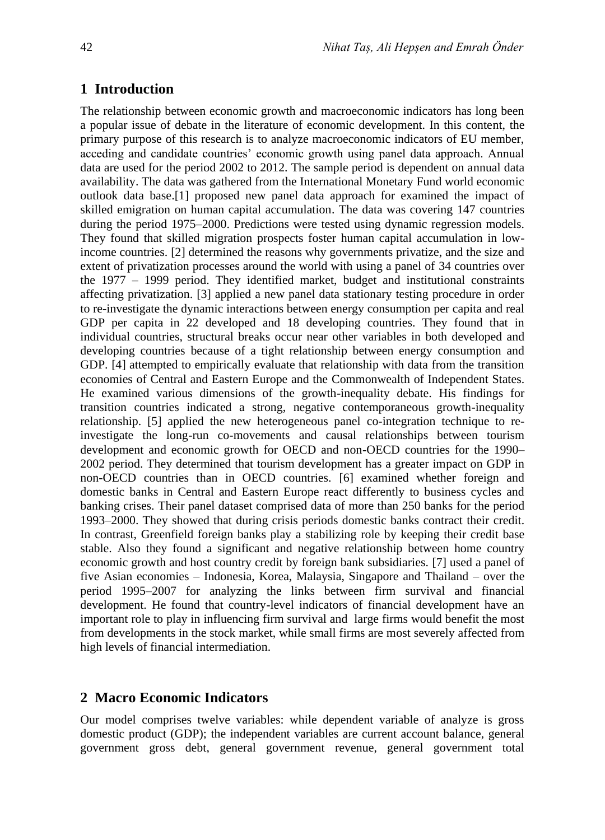#### **1 Introduction**

The relationship between economic growth and macroeconomic indicators has long been a popular issue of debate in the literature of economic development. In this content, the primary purpose of this research is to analyze macroeconomic indicators of EU member, acceding and candidate countries' economic growth using panel data approach. Annual data are used for the period 2002 to 2012. The sample period is dependent on annual data availability. The data was gathered from the International Monetary Fund world economic outlook data base.[1] proposed new panel data approach for examined the impact of skilled emigration on human capital accumulation. The data was covering 147 countries during the period 1975–2000. Predictions were tested using dynamic regression models. They found that skilled migration prospects foster human capital accumulation in lowincome countries. [2] determined the reasons why governments privatize, and the size and extent of privatization processes around the world with using a panel of 34 countries over the 1977 – 1999 period. They identified market, budget and institutional constraints affecting privatization. [3] applied a new panel data stationary testing procedure in order to re-investigate the dynamic interactions between energy consumption per capita and real GDP per capita in 22 developed and 18 developing countries. They found that in individual countries, structural breaks occur near other variables in both developed and developing countries because of a tight relationship between energy consumption and GDP. [4] attempted to empirically evaluate that relationship with data from the transition economies of Central and Eastern Europe and the Commonwealth of Independent States. He examined various dimensions of the growth-inequality debate. His findings for transition countries indicated a strong, negative contemporaneous growth-inequality relationship. [5] applied the new heterogeneous panel co-integration technique to reinvestigate the long-run co-movements and causal relationships between tourism development and economic growth for OECD and non-OECD countries for the 1990– 2002 period. They determined that tourism development has a greater impact on GDP in non-OECD countries than in OECD countries. [6] examined whether foreign and domestic banks in Central and Eastern Europe react differently to business cycles and banking crises. Their panel dataset comprised data of more than 250 banks for the period 1993–2000. They showed that during crisis periods domestic banks contract their credit. In contrast, Greenfield foreign banks play a stabilizing role by keeping their credit base stable. Also they found a significant and negative relationship between home country economic growth and host country credit by foreign bank subsidiaries. [7] used a panel of five Asian economies – Indonesia, Korea, Malaysia, Singapore and Thailand – over the period 1995–2007 for analyzing the links between firm survival and financial development. He found that country-level indicators of financial development have an important role to play in influencing firm survival and large firms would benefit the most from developments in the stock market, while small firms are most severely affected from high levels of financial intermediation.

#### **2 Macro Economic Indicators**

Our model comprises twelve variables: while dependent variable of analyze is gross domestic product (GDP); the independent variables are current account balance, general government gross debt, general government revenue, general government total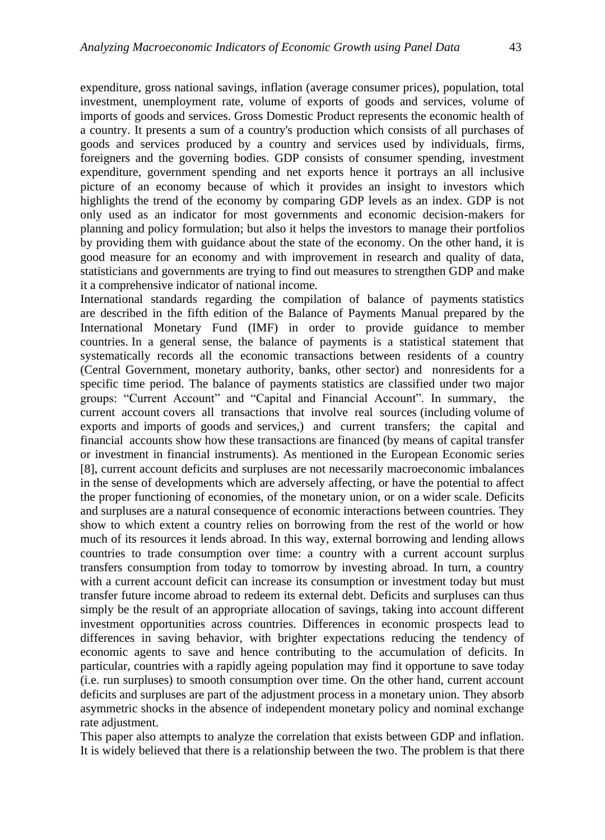expenditure, gross national savings, inflation (average consumer prices), population, total investment, unemployment rate, volume of exports of goods and services, volume of imports of goods and services. Gross Domestic Product represents the economic health of a country. It presents a sum of a country's production which consists of all purchases of goods and services produced by a country and services used by individuals, firms, foreigners and the governing bodies. GDP consists of consumer spending, investment expenditure, government spending and net exports hence it portrays an all inclusive picture of an economy because of which it provides an insight to investors which highlights the trend of the economy by comparing GDP levels as an index. GDP is not only used as an indicator for most governments and economic decision-makers for planning and policy formulation; but also it helps the investors to manage their portfolios by providing them with guidance about the state of the economy. On the other hand, it is good measure for an economy and with improvement in research and quality of data, statisticians and governments are trying to find out measures to strengthen GDP and make it a comprehensive indicator of national income.

International standards regarding the compilation of balance of payments statistics are described in the fifth edition of the Balance of Payments Manual prepared by the International Monetary Fund (IMF) in order to provide guidance to member countries. In a general sense, the balance of payments is a statistical statement that systematically records all the economic transactions between residents of a country (Central Government, monetary authority, banks, other sector) and nonresidents for a specific time period. The balance of payments statistics are classified under two major groups: "Current Account" and "Capital and Financial Account". In summary, the current account covers all transactions that involve real sources (including volume of exports and imports of goods and services,) and current transfers; the capital and financial accounts show how these transactions are financed (by means of capital transfer or investment in financial instruments). As mentioned in the European Economic series [8], current account deficits and surpluses are not necessarily macroeconomic imbalances in the sense of developments which are adversely affecting, or have the potential to affect the proper functioning of economies, of the monetary union, or on a wider scale. Deficits and surpluses are a natural consequence of economic interactions between countries. They show to which extent a country relies on borrowing from the rest of the world or how much of its resources it lends abroad. In this way, external borrowing and lending allows countries to trade consumption over time: a country with a current account surplus transfers consumption from today to tomorrow by investing abroad. In turn, a country with a current account deficit can increase its consumption or investment today but must transfer future income abroad to redeem its external debt. Deficits and surpluses can thus simply be the result of an appropriate allocation of savings, taking into account different investment opportunities across countries. Differences in economic prospects lead to differences in saving behavior, with brighter expectations reducing the tendency of economic agents to save and hence contributing to the accumulation of deficits. In particular, countries with a rapidly ageing population may find it opportune to save today (i.e. run surpluses) to smooth consumption over time. On the other hand, current account deficits and surpluses are part of the adjustment process in a monetary union. They absorb asymmetric shocks in the absence of independent monetary policy and nominal exchange rate adjustment.

This paper also attempts to analyze the correlation that exists between GDP and inflation. It is widely believed that there is a relationship between the two. The problem is that there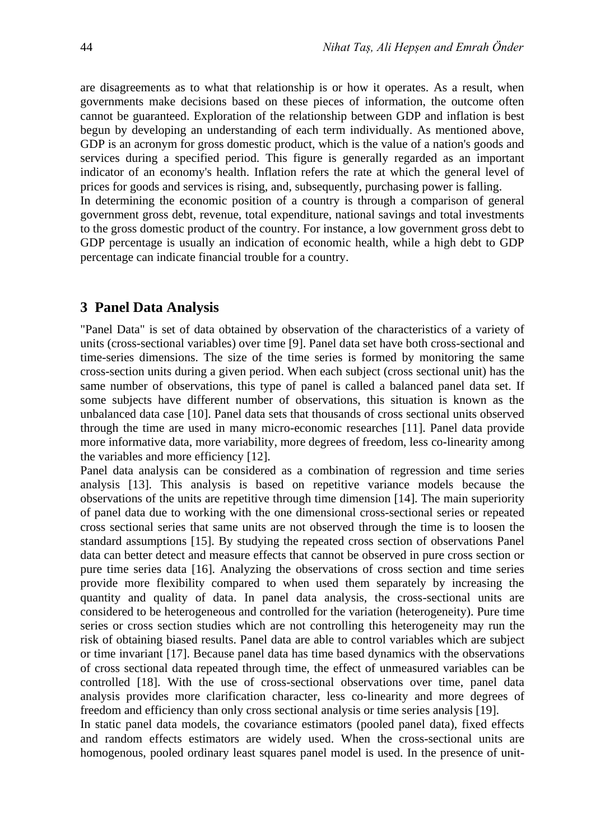are disagreements as to what that relationship is or how it operates. As a result, when governments make decisions based on these pieces of information, the outcome often cannot be guaranteed. Exploration of the relationship between GDP and inflation is best begun by developing an understanding of each term individually. As mentioned above, GDP is an acronym for gross domestic product, which is the value of a nation's goods and services during a specified period. This figure is generally regarded as an important indicator of an economy's health. Inflation refers the rate at which the general level of prices for goods and services is rising, and, subsequently, purchasing power is falling. In determining the economic position of a country is through a comparison of general government gross debt, revenue, total expenditure, national savings and total investments

to the gross domestic product of the country. For instance, a low government gross debt to GDP percentage is usually an indication of economic health, while a high debt to GDP percentage can indicate financial trouble for a country.

#### **3 Panel Data Analysis**

"Panel Data" is set of data obtained by observation of the characteristics of a variety of units (cross-sectional variables) over time [9]. Panel data set have both cross-sectional and time-series dimensions. The size of the time series is formed by monitoring the same cross-section units during a given period. When each subject (cross sectional unit) has the same number of observations, this type of panel is called a balanced panel data set. If some subjects have different number of observations, this situation is known as the unbalanced data case [10]. Panel data sets that thousands of cross sectional units observed through the time are used in many micro-economic researches [11]. Panel data provide more informative data, more variability, more degrees of freedom, less co-linearity among the variables and more efficiency [12].

Panel data analysis can be considered as a combination of regression and time series analysis [13]. This analysis is based on repetitive variance models because the observations of the units are repetitive through time dimension [14]. The main superiority of panel data due to working with the one dimensional cross-sectional series or repeated cross sectional series that same units are not observed through the time is to loosen the standard assumptions [15]. By studying the repeated cross section of observations Panel data can better detect and measure effects that cannot be observed in pure cross section or pure time series data [16]. Analyzing the observations of cross section and time series provide more flexibility compared to when used them separately by increasing the quantity and quality of data. In panel data analysis, the cross-sectional units are considered to be heterogeneous and controlled for the variation (heterogeneity). Pure time series or cross section studies which are not controlling this heterogeneity may run the risk of obtaining biased results. Panel data are able to control variables which are subject or time invariant [17]. Because panel data has time based dynamics with the observations of cross sectional data repeated through time, the effect of unmeasured variables can be controlled [18]. With the use of cross-sectional observations over time, panel data analysis provides more clarification character, less co-linearity and more degrees of freedom and efficiency than only cross sectional analysis or time series analysis [19]. In static panel data models, the covariance estimators (pooled panel data), fixed effects

and random effects estimators are widely used. When the cross-sectional units are homogenous, pooled ordinary least squares panel model is used. In the presence of unit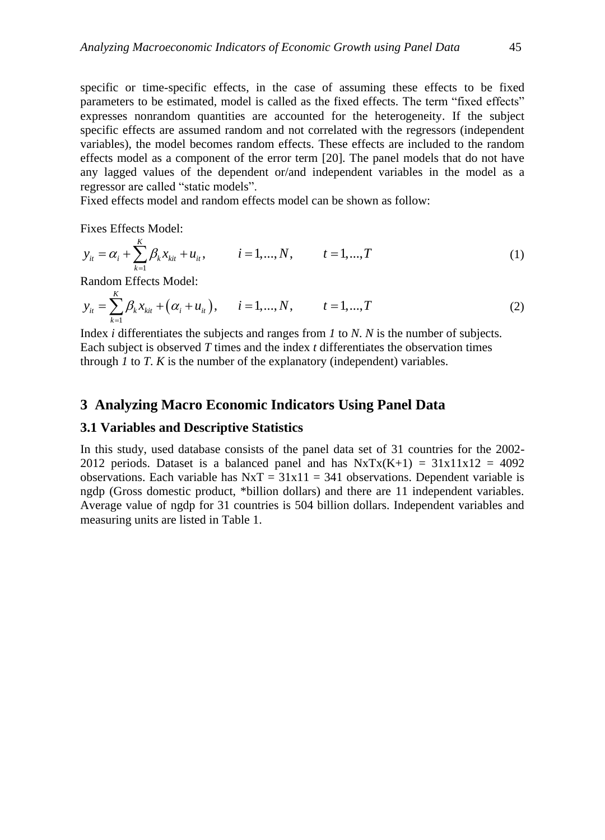specific or time-specific effects, in the case of assuming these effects to be fixed parameters to be estimated, model is called as the fixed effects. The term "fixed effects" expresses nonrandom quantities are accounted for the heterogeneity. If the subject specific effects are assumed random and not correlated with the regressors (independent variables), the model becomes random effects. These effects are included to the random effects model as a component of the error term [20]. The panel models that do not have any lagged values of the dependent or/and independent variables in the model as a regressor are called "static models".

Fixed effects model and random effects model can be shown as follow:

Fixes Effects Model:

Fixes Effects Model:  
\n
$$
y_{it} = \alpha_i + \sum_{k=1}^{K} \beta_k x_{kit} + u_{it}, \qquad i = 1,...,N, \qquad t = 1,...,T
$$
\n(1)

Random Effects Model:

Random Effects Model:  
\n
$$
y_{it} = \sum_{k=1}^{K} \beta_k x_{kit} + (\alpha_i + u_{it}), \qquad i = 1,...,N, \qquad t = 1,...,T
$$
\n(2)

Index *i* differentiates the subjects and ranges from *1* to *N*. *N* is the number of subjects. Each subject is observed *T* times and the index *t* differentiates the observation times through *1* to *T*. *K* is the number of the explanatory (independent) variables.

#### **3 Analyzing Macro Economic Indicators Using Panel Data**

#### **3.1 Variables and Descriptive Statistics**

In this study, used database consists of the panel data set of 31 countries for the 2002- 2012 periods. Dataset is a balanced panel and has  $NxTx(K+1) = 31x11x12 = 4092$ observations. Each variable has  $NxT = 31x11 = 341$  observations. Dependent variable is ngdp (Gross domestic product, \*billion dollars) and there are 11 independent variables. Average value of ngdp for 31 countries is 504 billion dollars. Independent variables and measuring units are listed in Table 1.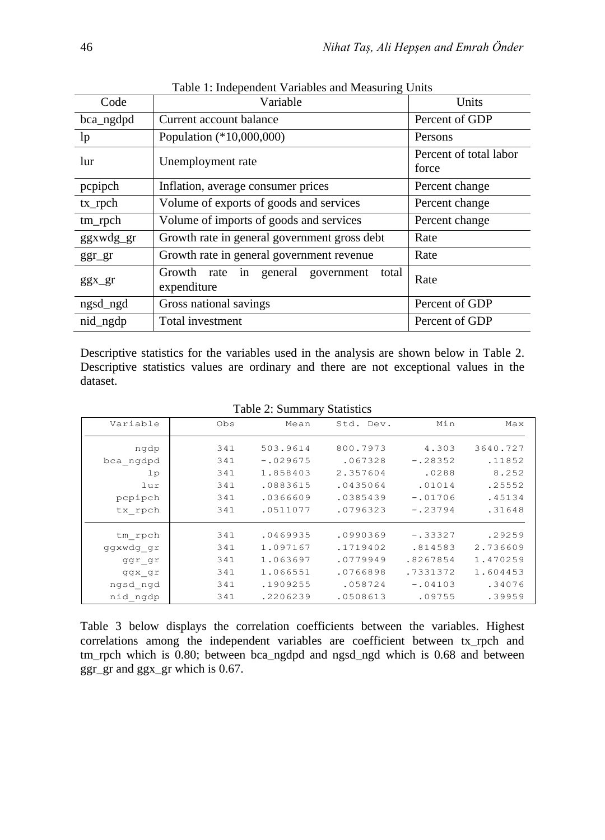| Code       | Variable                                                  | Units                           |
|------------|-----------------------------------------------------------|---------------------------------|
| bca_ngdpd  | Current account balance                                   | Percent of GDP                  |
| lp         | Population (*10,000,000)                                  | Persons                         |
| lur        | Unemployment rate                                         | Percent of total labor<br>force |
| pcpipch    | Inflation, average consumer prices                        | Percent change                  |
| $tx\_rpch$ | Volume of exports of goods and services                   | Percent change                  |
| tm_rpch    | Volume of imports of goods and services                   | Percent change                  |
| ggxwdg_gr  | Growth rate in general government gross debt              | Rate                            |
| $ggr\_gr$  | Growth rate in general government revenue                 | Rate                            |
| $ggx\_gr$  | Growth rate in general government<br>total<br>expenditure | Rate                            |
| ngsd_ngd   | Gross national savings                                    | Percent of GDP                  |
| nid_ngdp   | Total investment                                          | Percent of GDP                  |

Table 1: Independent Variables and Measuring Units

Descriptive statistics for the variables used in the analysis are shown below in Table 2. Descriptive statistics values are ordinary and there are not exceptional values in the dataset.

| Variable  | Obs | Mean       | Std. Dev. | Min       | Max      |
|-----------|-----|------------|-----------|-----------|----------|
| ngdp      | 341 | 503.9614   | 800.7973  | 4.303     | 3640.727 |
| bca ngdpd | 341 | $-.029675$ | .067328   | $-.28352$ | .11852   |
| 1p        | 341 | 1.858403   | 2.357604  | .0288     | 8.252    |
| lur       | 341 | .0883615   | .0435064  | .01014    | .25552   |
| pcpipch   | 341 | .0366609   | .0385439  | $-.01706$ | .45134   |
| tx rpch   | 341 | .0511077   | .0796323  | $-.23794$ | .31648   |
| tm rpch   | 341 | .0469935   | .0990369  | $-.33327$ | .29259   |
| ggxwdg gr | 341 | 1.097167   | .1719402  | .814583   | 2.736609 |
| ggr gr    | 341 | 1.063697   | .0779949  | .8267854  | 1.470259 |
| ggx gr    | 341 | 1.066551   | .0766898  | .7331372  | 1.604453 |
| ngsd ngd  | 341 | .1909255   | .058724   | $-.04103$ | .34076   |
| nid ngdp  | 341 | .2206239   | .0508613  | .09755    | .39959   |

Table 2: Summary Statistics

Table 3 below displays the correlation coefficients between the variables. Highest correlations among the independent variables are coefficient between tx\_rpch and tm\_rpch which is 0.80; between bca\_ngdpd and ngsd\_ngd which is 0.68 and between ggr\_gr and ggx\_gr which is 0.67.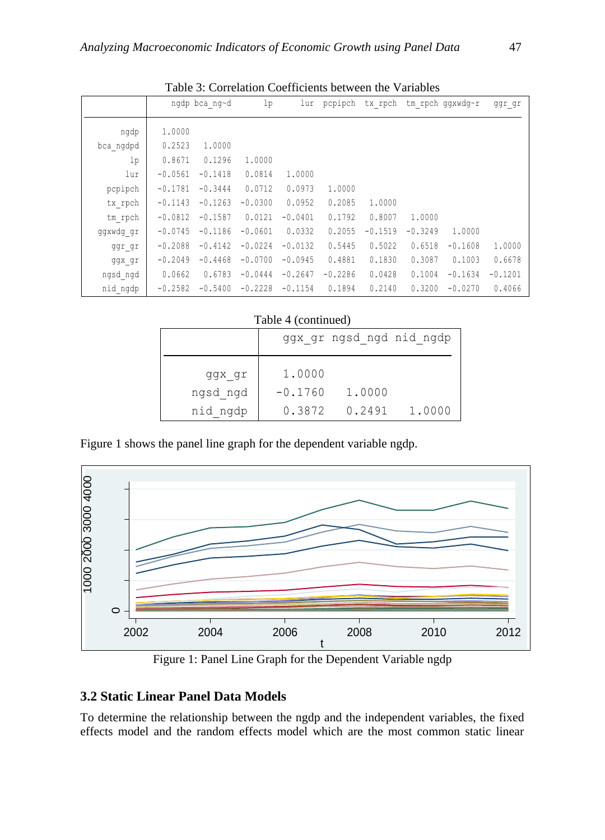|           |           | ngdp bca ng~d | 1p        | lur       | pcpipch   | tx rpch   | tm rpch ggxwdq~r |           | ggr gr    |
|-----------|-----------|---------------|-----------|-----------|-----------|-----------|------------------|-----------|-----------|
| ngdp      | 1,0000    |               |           |           |           |           |                  |           |           |
| bca ngdpd | 0.2523    | 1,0000        |           |           |           |           |                  |           |           |
| 1p        | 0.8671    | 0.1296        | 1,0000    |           |           |           |                  |           |           |
| lur       | $-0.0561$ | $-0.1418$     | 0.0814    | 1,0000    |           |           |                  |           |           |
| pcpipch   | $-0.1781$ | $-0.3444$     | 0.0712    | 0.0973    | 1,0000    |           |                  |           |           |
| tx rpch   | $-0.1143$ | $-0.1263$     | $-0.0300$ | 0.0952    | 0.2085    | 1.0000    |                  |           |           |
| tm rpch   | $-0.0812$ | $-0.1587$     | 0.0121    | $-0.0401$ | 0.1792    | 0.8007    | 1,0000           |           |           |
| qqxwdq qr | $-0.0745$ | $-0.1186$     | $-0.0601$ | 0.0332    | 0.2055    | $-0.1519$ | $-0.3249$        | 1,0000    |           |
| ggr gr    | $-0.2088$ | $-0.4142$     | $-0.0224$ | $-0.0132$ | 0.5445    | 0.5022    | 0.6518           | $-0.1608$ | 1,0000    |
| ggx gr    | $-0.2049$ | $-0.4468$     | $-0.0700$ | $-0.0945$ | 0.4881    | 0.1830    | 0.3087           | 0.1003    | 0.6678    |
| ngsd ngd  | 0.0662    | 0.6783        | $-0.0444$ | $-0.2647$ | $-0.2286$ | 0.0428    | 0.1004           | $-0.1634$ | $-0.1201$ |
| nid ngdp  | $-0.2582$ | $-0.5400$     | $-0.2228$ | $-0.1154$ | 0.1894    | 0.2140    | 0.3200           | $-0.0270$ | 0.4066    |

Table 3: Correlation Coefficients between the Variables

Table 4 (continued)

|          |           | ggx gr ngsd ngd nid ngdp |        |
|----------|-----------|--------------------------|--------|
| ggx_gr   | 1,0000    |                          |        |
| ngsd ngd | $-0.1760$ | 1,0000                   |        |
| nid ngdp | 0.3872    | 0.2491                   | 1,0000 |

Figure 1 shows the panel line graph for the dependent variable ngdp.



Figure 1: Panel Line Graph for the Dependent Variable ngdp  $\sum_{i=1}^{n}$  is  $\sum_{i=1}^{n}$  if  $\sum_{i=1}^{n}$  if  $\sum_{i=1}^{n}$  if  $\sum_{i=1}^{n}$  if  $\sum_{i=1}^{n}$  if  $\sum_{i=1}^{n}$ 

## **3.2 Static Linear Panel Data Models**

To determine the relationship between the ngdp and the independent variables, the fixed effects model and the random effects model which are the most common static linear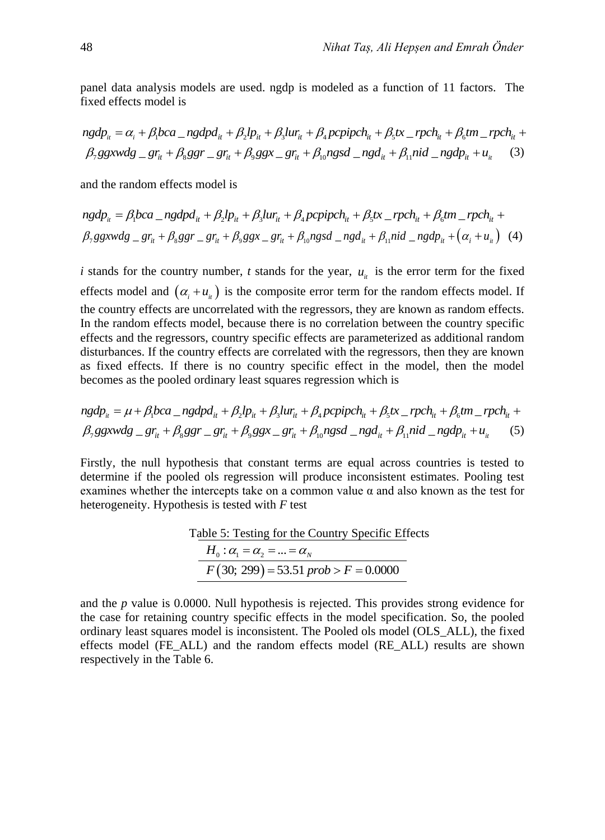fixed effects model is

panel data analysis models are used. ngdp is modeled as a function of 11 factors. The fixed effects model is  
\n
$$
ngdp_{ii} = \alpha_i + \beta_1 bca \, _{ng}dp_{ii} + \beta_2 lp_{ii} + \beta_3 lur_{ii} + \beta_4 pcpipch_{ii} + \beta_5 tx \, _{ng}pch_{ii} + \beta_6 tm \, _{ng}pch_{ii} + \beta_7 ggxwdg \, _{g}gr_{ii} + \beta_8 ggr \, _{g}gr_{ii} + \beta_9 ggr \, _{g}gr_{ii} + \beta_{10} ngsd \, _{ng}dr_{ii} + \beta_{11} nid \, _{ng}dp_{ii} + u_{ii}
$$
\n(3)

and the random effects model is

and the random effects model is  
\n
$$
ngdp_{it} = \beta_1 bca \quad ngdpd_{it} + \beta_2 lp_{it} + \beta_3 lur_{it} + \beta_4 pcpipch_{it} + \beta_5 tx \quad rpch_{it} + \beta_6 tm \quad rpch_{it} + \beta_7 gswdg \quad gr_{it} + \beta_8 ggr \quad gr_{it} + \beta_9 ggr \quad gr_{it} + \beta_9 ggr \quad \eta_7 + \beta_1 nbd \quad ngdp_{it} + (\alpha_i + u_{it})
$$
 (4)

*i* stands for the country number, *t* stands for the year,  $u_i$  is the error term for the fixed effects model and  $(\alpha_i + u_i)$  is the composite error term for the random effects model. If the country effects are uncorrelated with the regressors, they are known as random effects. In the random effects model, because there is no correlation between the country specific effects and the regressors, country specific effects are parameterized as additional random disturbances. If the country effects are correlated with the regressors, then they are known becomes as the pooled ordinary least squares regression which is

as fixed effects. If there is no country specific effect in the model, then the model  
becomes as the pooled ordinary least squares regression which is  

$$
ngdp_{ii} = \mu + \beta_1 bca \mod{radp_{ii}} + \beta_2 lp_{ii} + \beta_3 l w_{ii} + \beta_4 p c p i p c h_{ii} + \beta_5 t x \mod{radp_{ii}} + \beta_6 t m \mod{pdp_{ii}} + \beta_7 g g x w d g \mod{gr_{ii}} + \beta_8 g g r \mod{gr_{ii}} + \beta_9 g g x \mod{gr_{ii}} + \beta_{10} n g s d \mod{radp_{ii}} + \beta_{11} n i d \mod{pg_{ii}} + u_{ii}
$$
 (5)

Firstly, the null hypothesis that constant terms are equal across countries is tested to determine if the pooled ols regression will produce inconsistent estimates. Pooling test examines whether the intercepts take on a common value  $\alpha$  and also known as the test for heterogeneity. Hypothesis is tested with *F* test

| Table 5: Testing for the Country Specific Effects |  |
|---------------------------------------------------|--|
| $H_0: \alpha_1 = \alpha_2 =  = \alpha_N$          |  |
| $F(30; 299) = 53.51 prob > F = 0.0000$            |  |

and the *p* value is 0.0000. Null hypothesis is rejected. This provides strong evidence for the case for retaining country specific effects in the model specification. So, the pooled ordinary least squares model is inconsistent. The Pooled ols model (OLS\_ALL), the fixed effects model (FE\_ALL) and the random effects model (RE\_ALL) results are shown respectively in the Table 6.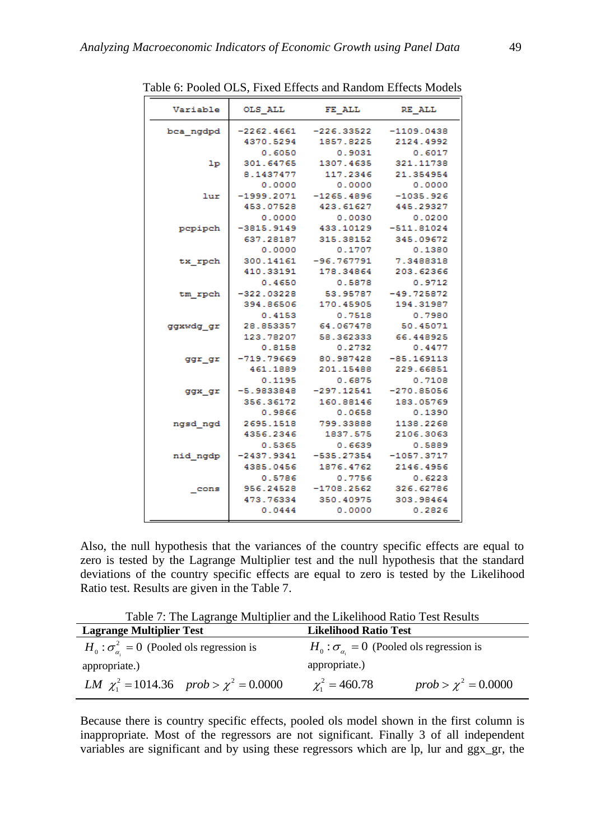| Variable       | OLS ALL      | FE ALL                         | RE ALL       |
|----------------|--------------|--------------------------------|--------------|
| bca ngdpd      |              | $-2262.4661 -226.33522$        | $-1109.0438$ |
|                | 4370.5294    | 1857.8225                      | 2124.4992    |
|                | 0.6050       | 0.9031                         | 0.6017       |
| 1 <sub>p</sub> | 301.64765    | 1307.4635                      | 321.11738    |
|                | 8.1437477    | 117.2346                       | 21.354954    |
|                | 0.0000       | 0.0000                         | 0.0000       |
| lur            | $-1999.2071$ | $-1265.4896$                   | $-1035.926$  |
|                | 453.07528    | 423.61627                      | 445.29327    |
|                | 0.0000       | 0.0030                         | 0.0200       |
| pepipeh        | $-3815.9149$ | 433.10129                      | -511.81024   |
|                | 637.28187    | 315.38152                      | 345.09672    |
|                | 0.0000       | 0.1707                         | 0.1380       |
| tx rpch        | 300.14161    | -96.767791                     | 7.3488318    |
|                | 410.33191    | 178.34864                      | 203.62366    |
|                | 0.4650       | 0.5878                         | 0.9712       |
| tm rpch        | $-322.03228$ | 53.95787                       | $-49.725872$ |
|                | 394.86506    | 170.45905                      | 194.31987    |
|                | 0.4153       | 0.7518                         | 0.7980       |
| ggxwdg gr      | 28.853357    | 64.067478                      | 50.45071     |
|                | 123.78207    | 58.362333                      | 66.448925    |
|                | 0.8158       | 0.2732                         | 0.4477       |
| ggr gr         | $-719.79669$ | 80.987428 -85.169113           |              |
|                | 461.1889     | 201.15488                      | 229.66851    |
|                | 0.1195       | 0.6875                         | 0.7108       |
| ggx gr         | $-5.9833848$ | -297.12541                     | $-270.85056$ |
|                | 356.36172    | 160.88146                      | 183.05769    |
|                | 0.9866       | 0.0658                         | 0.1390       |
| ngsd ngd       | 2695.1518    | 799.33888                      | 1138.2268    |
|                | 4356.2346    | 1837.575                       | 2106.3063    |
|                | 0.5365       | 0.6639                         | 0.5889       |
| nid ngdp       | $-2437.9341$ | -535.27354                     | $-1057.3717$ |
|                | 4385.0456    | 1876.4762 2146.4956            |              |
|                | 0.5786       | 0.7756                         | 0.6223       |
| cons           |              | 956.24528 -1708.2562 326.62786 |              |
|                |              | 473.76334 350.40975            | 303.98464    |
|                | 0.0444       | 0.0000                         | 0.2826       |

Table 6: Pooled OLS, Fixed Effects and Random Effects Models

Also, the null hypothesis that the variances of the country specific effects are equal to zero is tested by the Lagrange Multiplier test and the null hypothesis that the standard deviations of the country specific effects are equal to zero is tested by the Likelihood Ratio test. Results are given in the Table 7.

Table 7: The Lagrange Multiplier and the Likelihood Ratio Test Results

| <b>Lagrange Multiplier Test</b>                              | <b>Likelihood Ratio Test</b>                         |
|--------------------------------------------------------------|------------------------------------------------------|
| $H_0: \sigma_a^2 = 0$ (Pooled ols regression is              | $H_0: \sigma_{\alpha} = 0$ (Pooled ols regression is |
| appropriate.)                                                | appropriate.)                                        |
| <i>LM</i> $\chi^2 = 1014.36$ <i>prob</i> > $\chi^2 = 0.0000$ | $prob > \chi^2 = 0.0000$<br>$\chi^2 = 460.78$        |

Because there is country specific effects, pooled ols model shown in the first column is inappropriate. Most of the regressors are not significant. Finally 3 of all independent variables are significant and by using these regressors which are lp, lur and ggx\_gr, the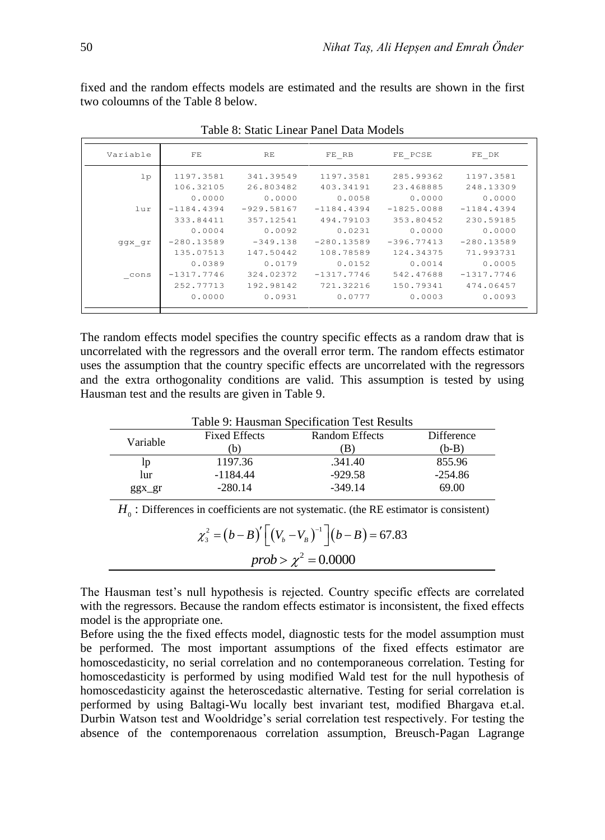fixed and the random effects models are estimated and the results are shown in the first two coloumns of the Table 8 below.

| Variable | FE           | RE           | FE RB        | FE PCSE      | FE DK        |
|----------|--------------|--------------|--------------|--------------|--------------|
| 1p       | 1197.3581    | 341.39549    | 1197.3581    | 285.99362    | 1197.3581    |
|          | 106.32105    | 26.803482    | 403.34191    | 23.468885    | 248.13309    |
|          | 0.0000       | 0.0000       | 0.0058       | 0.0000       | 0.0000       |
| lur      | $-1184.4394$ | $-929.58167$ | $-1184.4394$ | $-1825.0088$ | $-1184.4394$ |
|          | 333.84411    | 357.12541    | 494.79103    | 353.80452    | 230.59185    |
|          | 0.0004       | 0.0092       | 0.0231       | 0.0000       | 0.0000       |
| ggx gr   | $-280.13589$ | $-349.138$   | $-280.13589$ | $-396.77413$ | $-280.13589$ |
|          | 135.07513    | 147.50442    | 108.78589    | 124.34375    | 71.993731    |
|          | 0.0389       | 0.0179       | 0.0152       | 0.0014       | 0.0005       |
| cons     | $-1317.7746$ | 324.02372    | $-1317.7746$ | 542.47688    | $-1317.7746$ |
|          | 252.77713    | 192.98142    | 721.32216    | 150.79341    | 474.06457    |
|          | 0.0000       | 0.0931       | 0.0777       | 0.0003       | 0.0093       |

Table 8: Static Linear Panel Data Models

The random effects model specifies the country specific effects as a random draw that is uncorrelated with the regressors and the overall error term. The random effects estimator uses the assumption that the country specific effects are uncorrelated with the regressors and the extra orthogonality conditions are valid. This assumption is tested by using Hausman test and the results are given in Table 9.

| Table 9: Hausman Specification Test Results |                      |                       |                   |  |
|---------------------------------------------|----------------------|-----------------------|-------------------|--|
| Variable                                    | <b>Fixed Effects</b> | <b>Random Effects</b> | <b>Difference</b> |  |
|                                             | (b)                  | В.                    | $(b-B)$           |  |
| Ip                                          | 1197.36              | .341.40               | 855.96            |  |
| lur                                         | $-1184.44$           | $-929.58$             | $-254.86$         |  |
| $ggx\_gr$                                   | $-280.14$            | $-349.14$             | 69.00             |  |

$$
H_0: \text{Differences in coefficients are not systematic. (the RE estimator is consistent)}
$$
\n
$$
\chi_3^2 = (b - B)^{\prime} \left[ \left( V_b - V_B \right)^{-1} \right] \left( b - B \right) = 67.83
$$
\n
$$
prob > \chi^2 = 0.0000
$$

The Hausman test's null hypothesis is rejected. Country specific effects are correlated with the regressors. Because the random effects estimator is inconsistent, the fixed effects model is the appropriate one.

Before using the the fixed effects model, diagnostic tests for the model assumption must be performed. The most important assumptions of the fixed effects estimator are homoscedasticity, no serial correlation and no contemporaneous correlation. Testing for homoscedasticity is performed by using modified Wald test for the null hypothesis of homoscedasticity against the heteroscedastic alternative. Testing for serial correlation is performed by using Baltagi-Wu locally best invariant test, modified Bhargava et.al. Durbin Watson test and Wooldridge's serial correlation test respectively. For testing the absence of the contemporenaous correlation assumption, Breusch-Pagan Lagrange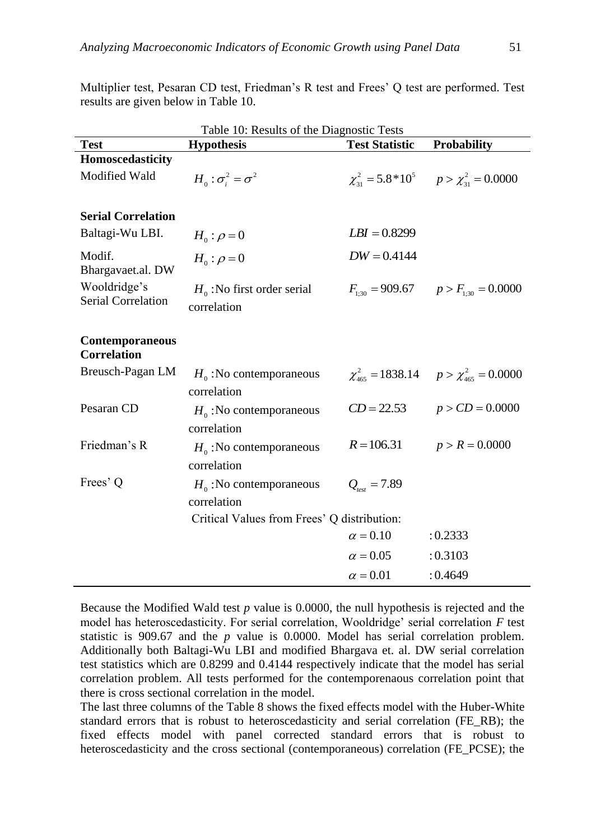| Table 10: Results of the Diagnostic Tests |                                              |                       |                                                      |  |  |
|-------------------------------------------|----------------------------------------------|-----------------------|------------------------------------------------------|--|--|
| <b>Test</b>                               | <b>Hypothesis</b>                            | <b>Test Statistic</b> | <b>Probability</b>                                   |  |  |
| Homoscedasticity<br>Modified Wald         | $H_0$ : $\sigma_i^2 = \sigma^2$              |                       | $\chi^2_{31} = 5.8*10^5$ $p > \chi^2_{31} = 0.0000$  |  |  |
| <b>Serial Correlation</b>                 |                                              |                       |                                                      |  |  |
| Baltagi-Wu LBI.                           | $H_0$ : $\rho = 0$                           | $LBI = 0.8299$        |                                                      |  |  |
| Modif.<br>Bhargavaet.al. DW               | $H_0$ : $\rho = 0$                           | $DW = 0.4144$         |                                                      |  |  |
| Wooldridge's<br>Serial Correlation        | $H_0$ : No first order serial<br>correlation |                       | $F_{1:30} = 909.67$ $p > F_{1:30} = 0.0000$          |  |  |
| Contemporaneous<br><b>Correlation</b>     |                                              |                       |                                                      |  |  |
| Breusch-Pagan LM                          | $H_0$ : No contemporaneous<br>correlation    |                       | $\chi^2_{465} = 1838.14$ $p > \chi^2_{465} = 0.0000$ |  |  |
| Pesaran CD                                | $H_0$ : No contemporaneous<br>correlation    | $CD = 22.53$          | $p > CD = 0.0000$                                    |  |  |
| Friedman's R                              | $H_0$ : No contemporaneous<br>correlation    | $R = 106.31$          | $p > R = 0.0000$                                     |  |  |
| Frees' Q                                  | $H_0$ : No contemporaneous<br>correlation    | $Q_{test} = 7.89$     |                                                      |  |  |
|                                           | Critical Values from Frees' Q distribution:  |                       |                                                      |  |  |
|                                           |                                              | $\alpha = 0.10$       | : 0.2333                                             |  |  |
|                                           |                                              | $\alpha = 0.05$       | : 0.3103                                             |  |  |
|                                           |                                              | $\alpha = 0.01$       | : 0.4649                                             |  |  |

Multiplier test, Pesaran CD test, Friedman's R test and Frees' Q test are performed. Test results are given below in Table 10.

Because the Modified Wald test *p* value is 0.0000, the null hypothesis is rejected and the model has heteroscedasticity. For serial correlation, Wooldridge' serial correlation *F* test statistic is 909.67 and the *p* value is 0.0000. Model has serial correlation problem. Additionally both Baltagi-Wu LBI and modified Bhargava et. al. DW serial correlation test statistics which are 0.8299 and 0.4144 respectively indicate that the model has serial correlation problem. All tests performed for the contemporenaous correlation point that there is cross sectional correlation in the model.

The last three columns of the Table 8 shows the fixed effects model with the Huber-White standard errors that is robust to heteroscedasticity and serial correlation (FE\_RB); the fixed effects model with panel corrected standard errors that is robust to heteroscedasticity and the cross sectional (contemporaneous) correlation (FE\_PCSE); the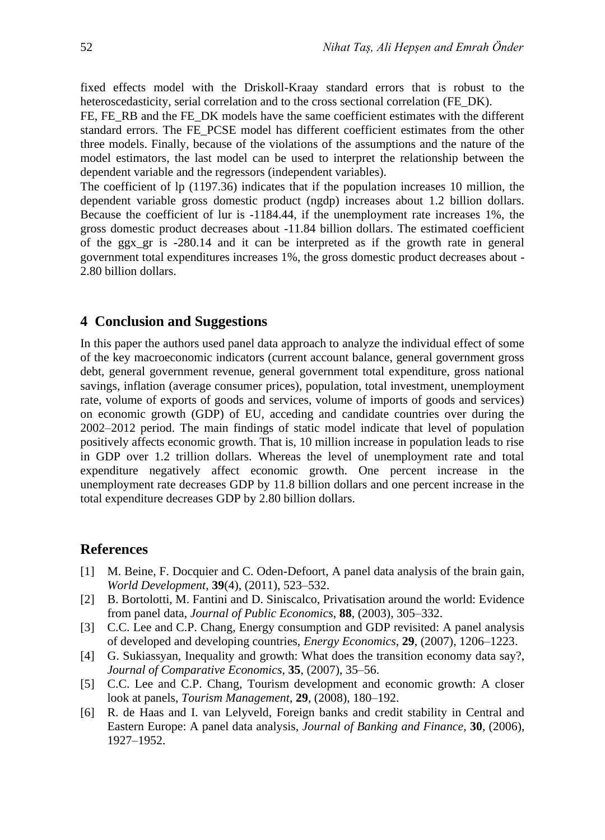fixed effects model with the Driskoll-Kraay standard errors that is robust to the heteroscedasticity, serial correlation and to the cross sectional correlation (FE\_DK).

FE, FE\_RB and the FE\_DK models have the same coefficient estimates with the different standard errors. The FE\_PCSE model has different coefficient estimates from the other three models. Finally, because of the violations of the assumptions and the nature of the model estimators, the last model can be used to interpret the relationship between the dependent variable and the regressors (independent variables).

The coefficient of lp (1197.36) indicates that if the population increases 10 million, the dependent variable gross domestic product (ngdp) increases about 1.2 billion dollars. Because the coefficient of lur is -1184.44, if the unemployment rate increases 1%, the gross domestic product decreases about -11.84 billion dollars. The estimated coefficient of the ggx\_gr is -280.14 and it can be interpreted as if the growth rate in general government total expenditures increases 1%, the gross domestic product decreases about - 2.80 billion dollars.

#### **4 Conclusion and Suggestions**

In this paper the authors used panel data approach to analyze the individual effect of some of the key macroeconomic indicators (current account balance, general government gross debt, general government revenue, general government total expenditure, gross national savings, inflation (average consumer prices), population, total investment, unemployment rate, volume of exports of goods and services, volume of imports of goods and services) on economic growth (GDP) of EU, acceding and candidate countries over during the 2002–2012 period. The main findings of static model indicate that level of population positively affects economic growth. That is, 10 million increase in population leads to rise in GDP over 1.2 trillion dollars. Whereas the level of unemployment rate and total expenditure negatively affect economic growth. One percent increase in the unemployment rate decreases GDP by 11.8 billion dollars and one percent increase in the total expenditure decreases GDP by 2.80 billion dollars.

### **References**

- [1] M. Beine, F. Docquier and C. Oden-Defoort, A panel data analysis of the brain gain, *World Development*, **39**(4), (2011), 523–532.
- [2] B. Bortolotti, M. Fantini and D. Siniscalco, Privatisation around the world: Evidence from panel data, *Journal of Public Economics*, **88**, (2003), 305–332.
- [3] C.C. Lee and C.P. Chang, Energy consumption and GDP revisited: A panel analysis of developed and developing countries, *Energy Economics*, **29**, (2007), 1206–1223.
- [4] G. Sukiassyan, Inequality and growth: What does the transition economy data say?, *Journal of Comparative Economics*, **35**, (2007), 35–56.
- [5] C.C. Lee and C.P. Chang, Tourism development and economic growth: A closer look at panels, *Tourism Management*, **29**, (2008), 180–192.
- [6] R. de Haas and I. van Lelyveld, Foreign banks and credit stability in Central and Eastern Europe: A panel data analysis, *Journal of Banking and Finance*, **30**, (2006), 1927–1952.